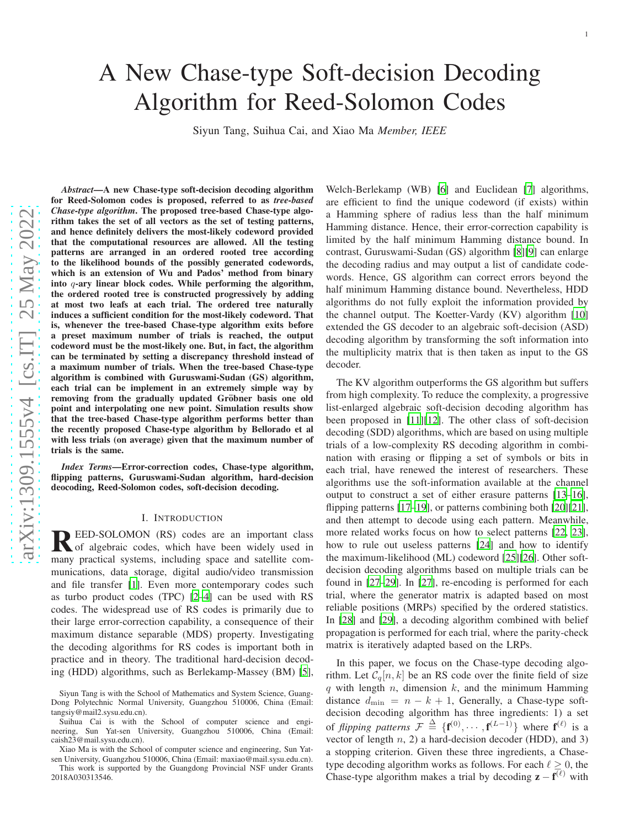# A New Chase-type Soft-decision Decoding Algorithm for Reed-Solomon Codes

Siyun Tang, Suihua Cai, and Xiao Ma *Member, IEEE*

*Abstract*—A new Chase-type soft-decision decoding algorithm for Reed-Solomon codes is proposed, referred to as *tree-based Chase-type algorithm*. The proposed tree-based Chase-type algorithm takes the set of all vectors as the set of testing patterns, and hence definitely delivers the most-likely codeword provided that the computational resources are allowed. All the testing patterns are arranged in an ordered rooted tree according to the likelihood bounds of the possibly generated codewords, which is an extension of Wu and Pados' method from binary into q-ary linear block codes. While performing the algorithm, the ordered rooted tree is constructed progressively by adding at most two leafs at each trial. The ordered tree naturally induces a sufficient condition for the most-likely codeword. That is, whenever the tree-based Chase-type algorithm exits before a preset maximum number of trials is reached, the output codeword must be the most-likely one. But, in fact, the algorithm can be terminated by setting a discrepancy threshold instead of a maximum number of trials. When the tree-based Chase-type algorithm is combined with Guruswami-Sudan (GS) algorithm , each trial can be implement in an extremely simple way by removing from the gradually updated Gröbner basis one old point and interpolating one new point. Simulation results show that the tree-based Chase-type algorithm performs better than the recently proposed Chase-type algorithm by Bellorado et al with less trials (on average) given that the maximum number o f trials is the same.

*Index Terms*—Error-correction codes, Chase-type algorithm, flipping patterns, Guruswami-Sudan algorithm, hard-decision deocoding, Reed-Solomon codes, soft-decision decoding.

#### I. INTRODUCTION

REED-SOLOMON (RS) codes are an important class<br>of algebraic codes, which have been widely used in<br>magnetical outcome including grapes and actillity agents of algebraic codes, which have been widely used in many practical systems, including space and satellite communications, data storage, digital audio/video transmission and file transfer [\[1\]](#page-9-0). Even more contemporary codes such as turbo product codes (TPC) [\[2](#page-9-1)[–4\]](#page-9-2) can be used with RS codes. The widespread use of RS codes is primarily due to their large error-correction capability, a consequence of their maximum distance separable (MDS) property. Investigating the decoding algorithms for RS codes is important both in practice and in theory. The traditional hard-decision decoding (HDD) algorithms, such as Berlekamp-Massey (BM) [\[5](#page-9-3)],

Siyun Tang is with the School of Mathematics and System Science, Guang-Dong Polytechnic Normal University, Guangzhou 510006, China (Email: tangsiy@mail2.sysu.edu.cn).

Suihua Cai is with the School of computer science and engineering, Sun Yat-sen University, Guangzhou 510006, China (Email: caish23@mail.sysu.edu.cn).

Xiao Ma is with the School of computer science and engineering, Sun Yatsen University, Guangzhou 510006, China (Email: maxiao@mail.sysu.edu.cn).

This work is supported by the Guangdong Provincial NSF under Grants 2018A030313546.

Welch-Berlekamp (WB) [\[6](#page-9-4)] and Euclidean [\[7](#page-9-5)] algorithms, are efficient to find the unique codeword (if exists) within a Hamming sphere of radius less than the half minimum Hamming distance. Hence, their error-correction capability is limited by the half minimum Hamming distance bound. In contrast, Guruswami-Sudan (GS) algorithm [\[8](#page-9-6)][\[9\]](#page-9-7) can enlarge the decoding radius and may output a list of candidate codewords. Hence, GS algorithm can correct errors beyond the half minimum Hamming distance bound. Nevertheless, HDD algorithms do not fully exploit the information provided by the channel output. The Koetter-Vardy (KV) algorithm [\[10\]](#page-9-8) extended the GS decoder to an algebraic soft-decision (ASD) decoding algorithm by transforming the soft information into the multiplicity matrix that is then taken as input to the GS decoder.

The KV algorithm outperforms the GS algorithm but suffers from high complexity. To reduce the complexity, a progressive list-enlarged algebraic soft-decision decoding algorithm has been proposed in [\[11](#page-9-9)][\[12\]](#page-9-10). The other class of soft-decision decoding (SDD) algorithms, which are based on using multipl e trials of a low-complexity RS decoding algorithm in combination with erasing or flipping a set of symbols or bits in each trial, have renewed the interest of researchers. These algorithms use the soft-information available at the channel output to construct a set of either erasure patterns [\[13](#page-9-11)[–16](#page-9-12)] , flipping patterns [\[17](#page-10-0)[–19](#page-10-1)], or patterns combining both [\[20\]](#page-10-2)[\[21](#page-10-3)], and then attempt to decode using each pattern. Meanwhile, more related works focus on how to select patterns [\[22](#page-10-4), [23](#page-10-5)], how to rule out useless patterns [\[24\]](#page-10-6) and how to identify the maximum-likelihood (ML) codeword [\[25\]](#page-10-7)[\[26\]](#page-10-8). Other soft decision decoding algorithms based on multiple trials can b e found in [\[27](#page-10-9)[–29\]](#page-10-10). In [\[27](#page-10-9)], re-encoding is performed for each trial, where the generator matrix is adapted based on most reliable positions (MRPs) specified by the ordered statistics. In [\[28](#page-10-11)] and [\[29\]](#page-10-10), a decoding algorithm combined with belief propagation is performed for each trial, where the parity-check matrix is iteratively adapted based on the LRPs.

In this paper, we focus on the Chase-type decoding algorithm. Let  $C_q[n, k]$  be an RS code over the finite field of size q with length  $n$ , dimension  $k$ , and the minimum Hamming distance  $d_{\min} = n - k + 1$ , Generally, a Chase-type softdecision decoding algorithm has three ingredients: 1) a set of *flipping patterns*  $\mathcal{F} \triangleq \{f^{(0)}, \cdots, f^{(L-1)}\}$  where  $f^{(\ell)}$  is a vector of length  $n$ , 2) a hard-decision decoder (HDD), and 3) a stopping criterion. Given these three ingredients, a Chasetype decoding algorithm works as follows. For each  $\ell \geq 0$ , the Chase-type algorithm makes a trial by decoding  $\mathbf{z} - \mathbf{f}^{(\ell)}$  with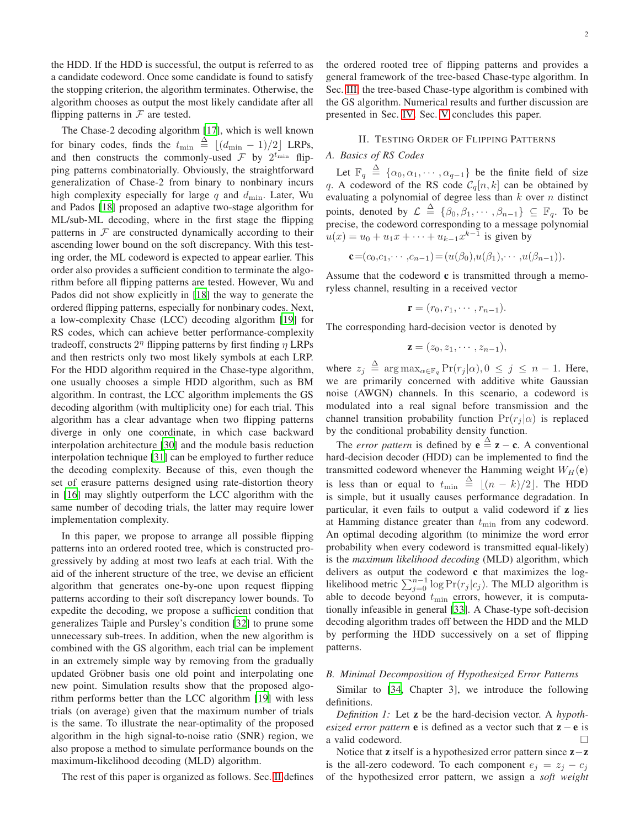the HDD. If the HDD is successful, the output is referred to as a candidate codeword. Once some candidate is found to satisfy the stopping criterion, the algorithm terminates. Otherwise, the algorithm chooses as output the most likely candidate after all flipping patterns in  $F$  are tested.

The Chase-2 decoding algorithm [\[17\]](#page-10-0), which is well known for binary codes, finds the  $t_{\min} \triangleq \lfloor (d_{\min} - 1)/2 \rfloor$  LRPs, and then constructs the commonly-used  $\mathcal F$  by  $2^{t_{\text{min}}}$  flipping patterns combinatorially. Obviously, the straightforward generalization of Chase-2 from binary to nonbinary incurs high complexity especially for large q and  $d_{\min}$ . Later, Wu and Pados [\[18\]](#page-10-12) proposed an adaptive two-stage algorithm for ML/sub-ML decoding, where in the first stage the flipping patterns in  $F$  are constructed dynamically according to their ascending lower bound on the soft discrepancy. With this testing order, the ML codeword is expected to appear earlier. This order also provides a sufficient condition to terminate the algorithm before all flipping patterns are tested. However, Wu and Pados did not show explicitly in [\[18\]](#page-10-12) the way to generate the ordered flipping patterns, especially for nonbinary codes. Next, a low-complexity Chase (LCC) decoding algorithm [\[19\]](#page-10-1) for RS codes, which can achieve better performance-complexity tradeoff, constructs  $2<sup>\eta</sup>$  flipping patterns by first finding  $\eta$  LRPs and then restricts only two most likely symbols at each LRP. For the HDD algorithm required in the Chase-type algorithm, one usually chooses a simple HDD algorithm, such as BM algorithm. In contrast, the LCC algorithm implements the GS decoding algorithm (with multiplicity one) for each trial. This algorithm has a clear advantage when two flipping patterns diverge in only one coordinate, in which case backward interpolation architecture [\[30\]](#page-10-13) and the module basis reduction interpolation technique [\[31](#page-10-14)] can be employed to further reduce the decoding complexity. Because of this, even though the set of erasure patterns designed using rate-distortion theory in [\[16\]](#page-9-12) may slightly outperform the LCC algorithm with the same number of decoding trials, the latter may require lower implementation complexity.

In this paper, we propose to arrange all possible flipping patterns into an ordered rooted tree, which is constructed progressively by adding at most two leafs at each trial. With the aid of the inherent structure of the tree, we devise an efficient algorithm that generates one-by-one upon request flipping patterns according to their soft discrepancy lower bounds. To expedite the decoding, we propose a sufficient condition that generalizes Taiple and Pursley's condition [\[32\]](#page-10-15) to prune some unnecessary sub-trees. In addition, when the new algorithm is combined with the GS algorithm, each trial can be implement in an extremely simple way by removing from the gradually updated Gröbner basis one old point and interpolating one new point. Simulation results show that the proposed algorithm performs better than the LCC algorithm [\[19\]](#page-10-1) with less trials (on average) given that the maximum number of trials is the same. To illustrate the near-optimality of the proposed algorithm in the high signal-to-noise ratio (SNR) region, we also propose a method to simulate performance bounds on the maximum-likelihood decoding (MLD) algorithm.

The rest of this paper is organized as follows. Sec. [II](#page-1-0) defines

the ordered rooted tree of flipping patterns and provides a general framework of the tree-based Chase-type algorithm. In Sec. [III,](#page-4-0) the tree-based Chase-type algorithm is combined with the GS algorithm. Numerical results and further discussion are presented in Sec. [IV.](#page-6-0) Sec. [V](#page-9-13) concludes this paper.

### <span id="page-1-0"></span>II. TESTING ORDER OF FLIPPING PATTERNS

# *A. Basics of RS Codes*

Let  $\mathbb{F}_q \stackrel{\Delta}{=} {\alpha_0, \alpha_1, \cdots, \alpha_{q-1}}$  be the finite field of size q. A codeword of the RS code  $C_q[n, k]$  can be obtained by evaluating a polynomial of degree less than  $k$  over  $n$  distinct points, denoted by  $\mathcal{L} \triangleq \{ \beta_0, \beta_1, \cdots, \beta_{n-1} \} \subseteq \mathbb{F}_q$ . To be precise, the codeword corresponding to a message polynomial  $u(x) = u_0 + u_1 x + \dots + u_{k-1} x^{k-1}$  is given by

 ${\bf c}=(c_0,c_1,\dots,c_{n-1})=(u(\beta_0),u(\beta_1),\dots,u(\beta_{n-1})).$ 

Assume that the codeword  $c$  is transmitted through a memoryless channel, resulting in a received vector

$$
\mathbf{r}=(r_0,r_1,\cdots,r_{n-1}).
$$

The corresponding hard-decision vector is denoted by

$$
\mathbf{z}=(z_0,z_1,\cdots,z_{n-1}),
$$

where  $z_j \triangleq \argmax_{\alpha \in \mathbb{F}_q} \Pr(r_j|\alpha), 0 \leq j \leq n-1$ . Here, we are primarily concerned with additive white Gaussian noise (AWGN) channels. In this scenario, a codeword is modulated into a real signal before transmission and the channel transition probability function  $Pr(r_i | \alpha)$  is replaced by the conditional probability density function.

The *error pattern* is defined by  $e \stackrel{\Delta}{=} z - c$ . A conventional hard-decision decoder (HDD) can be implemented to find the transmitted codeword whenever the Hamming weight  $W_H(e)$ is less than or equal to  $t_{\min} \triangleq \lfloor (n-k)/2 \rfloor$ . The HDD is simple, but it usually causes performance degradation. In particular, it even fails to output a valid codeword if z lies at Hamming distance greater than  $t_{\text{min}}$  from any codeword. An optimal decoding algorithm (to minimize the word error probability when every codeword is transmitted equal-likely) is the *maximum likelihood decoding* (MLD) algorithm, which delivers as output the codeword c that maximizes the loglikelihood metric  $\sum_{j=0}^{n-1} \log \Pr(r_j | c_j)$ . The MLD algorithm is able to decode beyond  $t_{\text{min}}$  errors, however, it is computationally infeasible in general [\[33](#page-10-16)]. A Chase-type soft-decision decoding algorithm trades off between the HDD and the MLD by performing the HDD successively on a set of flipping patterns.

# *B. Minimal Decomposition of Hypothesized Error Patterns*

Similar to [\[34,](#page-10-17) Chapter 3], we introduce the following definitions.

*Definition 1:* Let z be the hard-decision vector. A *hypothesized error pattern* **e** is defined as a vector such that  $z - e$  is a valid codeword.

Notice that z itself is a hypothesized error pattern since z−z is the all-zero codeword. To each component  $e_i = z_i - c_i$ of the hypothesized error pattern, we assign a *soft weight*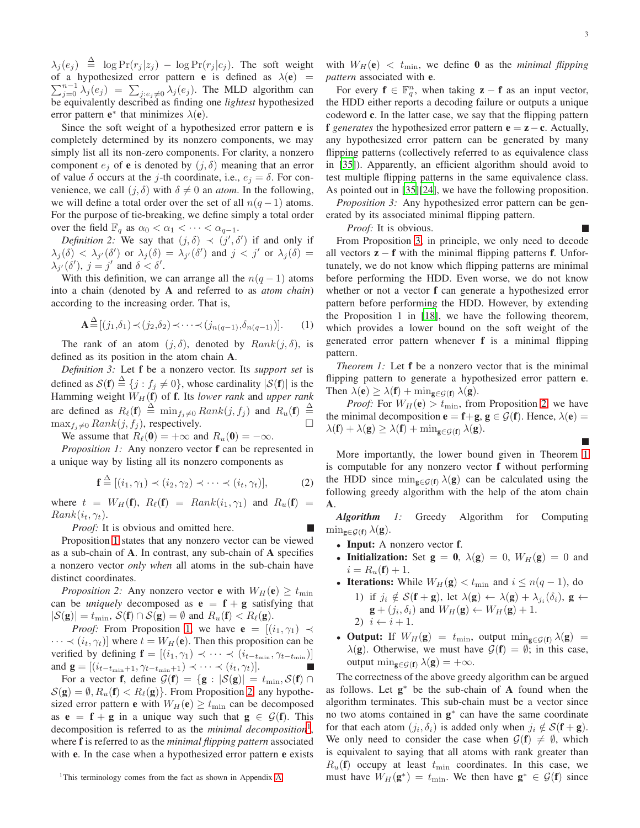$\lambda_j(e_j) \triangleq \log \Pr(r_j|z_j) - \log \Pr(r_j|c_j)$ . The soft weight  $\sum_{j=0}^{n-1} \lambda_j(e_j) = \sum_{j:e_j \neq 0} \lambda_j(e_j)$ . The MLD algorithm can of a hypothesized error pattern **e** is defined as  $\lambda(e)$  = be equivalently described as finding one *lightest* hypothesized error pattern  $e^*$  that minimizes  $\lambda(e)$ .

Since the soft weight of a hypothesized error pattern e is completely determined by its nonzero components, we may simply list all its non-zero components. For clarity, a nonzero component  $e_i$  of **e** is denoted by  $(j, \delta)$  meaning that an error of value  $\delta$  occurs at the j-th coordinate, i.e.,  $e_i = \delta$ . For convenience, we call  $(j, \delta)$  with  $\delta \neq 0$  an *atom*. In the following, we will define a total order over the set of all  $n(q-1)$  atoms. For the purpose of tie-breaking, we define simply a total order over the field  $\mathbb{F}_q$  as  $\alpha_0 < \alpha_1 < \cdots < \alpha_{q-1}$ .

*Definition 2:* We say that  $(j, \delta) \prec (j', \delta')$  if and only if  $\lambda_j(\delta) < \lambda_{j'}(\delta')$  or  $\lambda_j(\delta) = \lambda_{j'}(\delta')$  and  $j < j'$  or  $\lambda_j(\delta) =$  $\lambda_{j'}(\delta'), j = j'$  and  $\delta < \delta'.$ 

With this definition, we can arrange all the  $n(q-1)$  atoms into a chain (denoted by A and referred to as *atom chain*) according to the increasing order. That is,

$$
\mathbf{A} \stackrel{\Delta}{=} [(j_1, \delta_1) \prec (j_2, \delta_2) \prec \cdots \prec (j_{n(q-1)}, \delta_{n(q-1)})]. \tag{1}
$$

The rank of an atom  $(j, \delta)$ , denoted by  $Rank(j, \delta)$ , is defined as its position in the atom chain A.

*Definition 3:* Let f be a nonzero vector. Its *support set* is defined as  $\mathcal{S}(\mathbf{f}) \stackrel{\Delta}{=} \{j : f_j \neq 0\}$ , whose cardinality  $|\mathcal{S}(\mathbf{f})|$  is the Hamming weight  $W_H$  (f) of f. Its lower rank and upper rank are defined as  $R_{\ell}(\mathbf{f}) \triangleq \min_{f_j \neq 0} Rank(j, f_j)$  and  $R_u(\mathbf{f}) \triangleq$  $\max_{f_i \neq 0} Rank(j, f_j)$ , respectively.

<span id="page-2-0"></span>We assume that  $R_{\ell}(\mathbf{0}) = +\infty$  and  $R_u(\mathbf{0}) = -\infty$ .

*Proposition 1:* Any nonzero vector **f** can be represented in a unique way by listing all its nonzero components as

$$
\mathbf{f} \stackrel{\Delta}{=} [(i_1, \gamma_1) \prec (i_2, \gamma_2) \prec \cdots \prec (i_t, \gamma_t)], \tag{2}
$$

where  $t = W_H(\mathbf{f})$ ,  $R_\ell(\mathbf{f}) = Rank(i_1, \gamma_1)$  and  $R_u(\mathbf{f}) =$  $Rank(i_t, \gamma_t)$ .

*Proof:* It is obvious and omitted here.

Proposition [1](#page-2-0) states that any nonzero vector can be viewed as a sub-chain of A. In contrast, any sub-chain of A specifies a nonzero vector *only when* all atoms in the sub-chain have distinct coordinates.

<span id="page-2-1"></span>*Proposition 2:* Any nonzero vector **e** with  $W_H$ (**e**)  $\geq t_{\min}$ can be *uniquely* decomposed as  $\mathbf{e} = \mathbf{f} + \mathbf{g}$  satisfying that  $|\mathcal{S}(\mathbf{g})| = t_{\min}$ ,  $\mathcal{S}(\mathbf{f}) \cap \mathcal{S}(\mathbf{g}) = \emptyset$  and  $R_u(\mathbf{f}) < R_{\ell}(\mathbf{g})$ .

*Proof:* From Proposition [1,](#page-2-0) we have  $e = [(i_1, \gamma_1) \prec$  $\cdots \prec (i_t, \gamma_t)$  where  $t = W_H(e)$ . Then this proposition can be verified by defining  $\mathbf{f} = [(i_1, \gamma_1) \prec \cdots \prec (i_{t-t_{\min}}, \gamma_{t-t_{\min}})]$ and  $\mathbf{g} = [(i_{t-t_{\min}+1}, \gamma_{t-t_{\min}+1}) \prec \cdots \prec (i_t, \gamma_t)].$ П

For a vector **f**, define  $\mathcal{G}(\mathbf{f}) = {\mathbf{g} : |\mathcal{S}(\mathbf{g})| = t_{\min}, \mathcal{S}(\mathbf{f}) \cap$  $S(\mathbf{g}) = \emptyset$ ,  $R_u(\mathbf{f}) < R_{\ell}(\mathbf{g})$ . From Proposition [2,](#page-2-1) any hypothesized error pattern **e** with  $W_H(e) \ge t_{\min}$  can be decomposed as  $e = f + g$  in a unique way such that  $g \in \mathcal{G}(f)$ . This decomposition is referred to as the *minimal decomposition*[1](#page-2-2) , where f is referred to as the *minimal flipping pattern* associated with **e**. In the case when a hypothesized error pattern **e** exists

<span id="page-2-2"></span><sup>1</sup>This terminology comes from the fact as shown in Appendix [A.](#page-9-14)

with  $W_H(e) < t_{\text{min}}$ , we define 0 as the *minimal flipping pattern* associated with e.

For every  $f \in \mathbb{F}_q^n$ , when taking  $z - f$  as an input vector, the HDD either reports a decoding failure or outputs a unique codeword c. In the latter case, we say that the flipping pattern f *generates* the hypothesized error pattern  $\mathbf{e} = \mathbf{z} - \mathbf{c}$ . Actually, any hypothesized error pattern can be generated by many flipping patterns (collectively referred to as equivalence class in [\[35\]](#page-10-18)). Apparently, an efficient algorithm should avoid to test multiple flipping patterns in the same equivalence class. As pointed out in [\[35\]](#page-10-18)[\[24\]](#page-10-6), we have the following proposition.

<span id="page-2-3"></span>*Proposition 3:* Any hypothesized error pattern can be generated by its associated minimal flipping pattern.

*Proof:* It is obvious.

From Proposition [3,](#page-2-3) in principle, we only need to decode all vectors  $z - f$  with the minimal flipping patterns f. Unfortunately, we do not know which flipping patterns are minimal before performing the HDD. Even worse, we do not know whether or not a vector f can generate a hypothesized error pattern before performing the HDD. However, by extending the Proposition 1 in [\[18](#page-10-12)], we have the following theorem, which provides a lower bound on the soft weight of the generated error pattern whenever f is a minimal flipping pattern.

<span id="page-2-4"></span>*Theorem 1:* Let f be a nonzero vector that is the minimal flipping pattern to generate a hypothesized error pattern e. Then  $\lambda(\mathbf{e}) \geq \lambda(\mathbf{f}) + \min_{\mathbf{g} \in \mathcal{G}(\mathbf{f})} \lambda(\mathbf{g}).$ 

*Proof:* For  $W_H(\mathbf{e}) > t_{\text{min}}$ , from Proposition [2,](#page-2-1) we have the minimal decomposition  $\mathbf{e} = \mathbf{f} + \mathbf{g}, \mathbf{g} \in \mathcal{G}(\mathbf{f})$ . Hence,  $\lambda(\mathbf{e}) =$  $\lambda(\mathbf{f}) + \lambda(\mathbf{g}) \geq \lambda(\mathbf{f}) + \min_{\mathbf{g} \in \mathcal{G}(\mathbf{f})} \lambda(\mathbf{g}).$ 

More importantly, the lower bound given in Theorem [1](#page-2-4) is computable for any nonzero vector f without performing the HDD since  $\min_{g \in G(f)} \lambda(g)$  can be calculated using the following greedy algorithm with the help of the atom chain A.

*Algorithm 1:* Greedy Algorithm for Computing  $\min_{\mathbf{g}\in\mathcal{G}(\mathbf{f})}\lambda(\mathbf{g}).$ 

- Input: A nonzero vector f.
- Initialization: Set  $g = 0$ ,  $\lambda(g) = 0$ ,  $W_H(g) = 0$  and  $i = R_u(\mathbf{f}) + 1.$
- Iterations: While  $W_H(\mathbf{g}) < t_{\text{min}}$  and  $i \leq n(q-1)$ , do 1) if  $j_i \notin \mathcal{S}(\mathbf{f} + \mathbf{g})$ , let  $\lambda(\mathbf{g}) \leftarrow \lambda(\mathbf{g}) + \lambda_{j_i}(\delta_i)$ ,  $\mathbf{g} \leftarrow$  $\mathbf{g} + (j_i, \delta_i)$  and  $W_H(\mathbf{g}) \leftarrow W_H(\mathbf{g}) + 1$ . 2)  $i \leftarrow i + 1$ .
- Output: If  $W_H(\mathbf{g}) = t_{\min}$ , output  $\min_{\mathbf{g} \in \mathcal{G}(\mathbf{f})} \lambda(\mathbf{g}) =$  $\lambda(\mathbf{g})$ . Otherwise, we must have  $\mathcal{G}(\mathbf{f}) = \emptyset$ ; in this case, output  $\min_{\mathbf{g} \in \mathcal{G}(\mathbf{f})} \lambda(\mathbf{g}) = +\infty$ .

The correctness of the above greedy algorithm can be argued as follows. Let  $g^*$  be the sub-chain of A found when the algorithm terminates. This sub-chain must be a vector since no two atoms contained in **g**<sup>∗</sup> can have the same coordinate for that each atom  $(j_i, \delta_i)$  is added only when  $j_i \notin S(\mathbf{f} + \mathbf{g})$ . We only need to consider the case when  $\mathcal{G}(\mathbf{f}) \neq \emptyset$ , which is equivalent to saying that all atoms with rank greater than  $R_u(\mathbf{f})$  occupy at least  $t_{\text{min}}$  coordinates. In this case, we must have  $W_H(\mathbf{g}^*) = t_{\text{min}}$ . We then have  $\mathbf{g}^* \in \mathcal{G}(\mathbf{f})$  since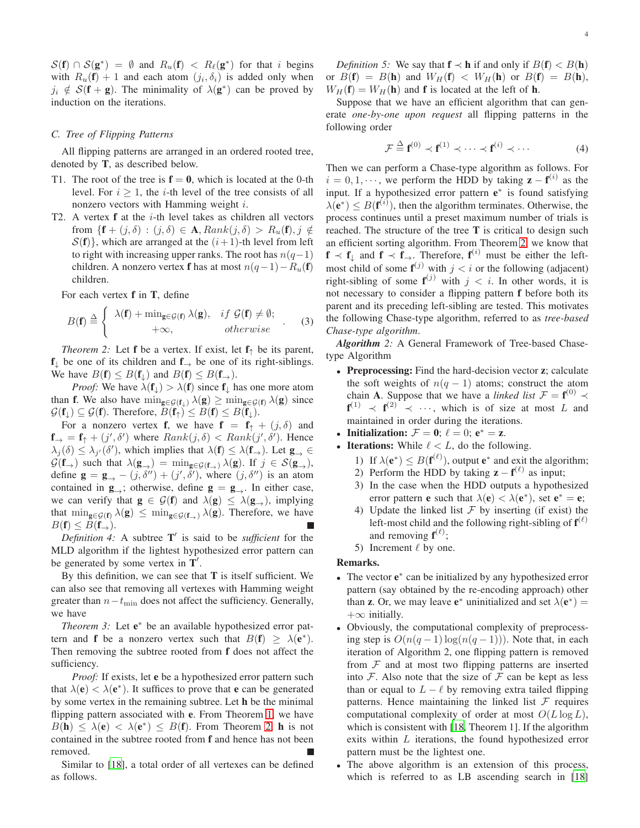$S(\mathbf{f}) \cap S(\mathbf{g}^*) = \emptyset$  and  $R_u(\mathbf{f}) < R_\ell(\mathbf{g}^*)$  for that i begins with  $R_u(\mathbf{f}) + 1$  and each atom  $(j_i, \delta_i)$  is added only when  $j_i \notin S(\mathbf{f} + \mathbf{g})$ . The minimality of  $\lambda(\mathbf{g}^*)$  can be proved by induction on the iterations.

#### *C. Tree of Flipping Patterns*

All flipping patterns are arranged in an ordered rooted tree, denoted by T, as described below.

- T1. The root of the tree is  $f = 0$ , which is located at the 0-th level. For  $i \geq 1$ , the *i*-th level of the tree consists of all nonzero vectors with Hamming weight i.
- T2. A vertex  $f$  at the  $i$ -th level takes as children all vectors from  $\{f + (j, \delta) : (j, \delta) \in \mathbf{A}, Rank(j, \delta) > R_u(f), j \notin$  $S(f)$ , which are arranged at the  $(i+1)$ -th level from left to right with increasing upper ranks. The root has  $n(q-1)$ children. A nonzero vertex **f** has at most  $n(q-1)-R_u(f)$ children.

For each vertex f in T, define

$$
B(\mathbf{f}) \stackrel{\Delta}{=} \begin{cases} \lambda(\mathbf{f}) + \min_{\mathbf{g} \in \mathcal{G}(\mathbf{f})} \lambda(\mathbf{g}), & if \mathcal{G}(\mathbf{f}) \neq \emptyset; \\ +\infty, & otherwise \end{cases} (3)
$$

<span id="page-3-0"></span>*Theorem 2:* Let **f** be a vertex. If exist, let  $f_{\uparrow}$  be its parent,  $f_{\downarrow}$  be one of its children and  $f_{\rightarrow}$  be one of its right-siblings. We have  $B(f) \leq B(f_{\downarrow})$  and  $B(f) \leq B(f_{\rightarrow})$ .

*Proof:* We have  $\lambda(f_{\perp}) > \lambda(f)$  since  $f_{\perp}$  has one more atom than **f**. We also have  $\min_{g \in \mathcal{G}(f_1)} \lambda(g) \geq \min_{g \in \mathcal{G}(f)} \lambda(g)$  since  $\mathcal{G}(\mathbf{f}) \subseteq \mathcal{G}(\mathbf{f})$ . Therefore,  $B(\mathbf{f}) \leq B(\mathbf{f}) \leq B(\mathbf{f})$ .

For a nonzero vertex **f**, we have  $f = f_{\uparrow} + (j, \delta)$  and  $f{f} = f{f} + (j', \delta')$  where  $Rank(j, \delta) < Rank(j', \delta')$ . Hence  $\lambda_j(\delta) \leq \lambda_{j'}(\delta')$ , which implies that  $\lambda(\mathbf{f}) \leq \lambda(\mathbf{f}_\rightarrow)$ . Let  $\mathbf{g}_{\rightarrow} \in$  $\mathcal{G}(\mathbf{f}_{\rightarrow})$  such that  $\lambda(\mathbf{g}_{\rightarrow}) = \min_{\mathbf{g} \in \mathcal{G}(\mathbf{f}_{\rightarrow})} \lambda(\mathbf{g})$ . If  $j \in \mathcal{S}(\mathbf{g}_{\rightarrow})$ , define  $\mathbf{g} = \mathbf{g}_{\rightarrow} - (j, \delta'') + (j', \delta')$ , where  $(j, \delta'')$  is an atom contained in  $\mathbf{g}_{\rightarrow}$ ; otherwise, define  $\mathbf{g} = \mathbf{g}_{\rightarrow}$ . In either case, we can verify that  $g \in \mathcal{G}(f)$  and  $\lambda(g) \leq \lambda(g_{\rightarrow})$ , implying that  $\min_{g \in G(f)} \lambda(g) \leq \min_{g \in G(f)} \lambda(g)$ . Therefore, we have  $B(f) \leq B(f_{\rightarrow}).$ 

*Definition 4:* A subtree T ′ is said to be *sufficient* for the MLD algorithm if the lightest hypothesized error pattern can be generated by some vertex in  $T'$ .

By this definition, we can see that  $T$  is itself sufficient. We can also see that removing all vertexes with Hamming weight greater than  $n-t_{\min}$  does not affect the sufficiency. Generally, we have

<span id="page-3-1"></span>*Theorem 3:* Let e<sup>\*</sup> be an available hypothesized error pattern and **f** be a nonzero vertex such that  $B(f) \ge \lambda(e^*)$ . Then removing the subtree rooted from f does not affect the sufficiency.

*Proof:* If exists, let **e** be a hypothesized error pattern such that  $\lambda(e) < \lambda(e^*)$ . It suffices to prove that e can be generated by some vertex in the remaining subtree. Let h be the minimal flipping pattern associated with e. From Theorem [1,](#page-2-4) we have  $B(\mathbf{h}) \leq \lambda(\mathbf{e}) < \lambda(\mathbf{e}^*) \leq B(\mathbf{f})$ . From Theorem [2,](#page-3-0) **h** is not contained in the subtree rooted from f and hence has not been removed.

Similar to [\[18](#page-10-12)], a total order of all vertexes can be defined as follows.

*Definition 5:* We say that  $f \prec h$  if and only if  $B(f) < B(h)$ or  $B(\mathbf{f}) = B(\mathbf{h})$  and  $W_H(\mathbf{f}) < W_H(\mathbf{h})$  or  $B(\mathbf{f}) = B(\mathbf{h}),$  $W_H(\mathbf{f}) = W_H(\mathbf{h})$  and **f** is located at the left of **h**.

Suppose that we have an efficient algorithm that can generate *one-by-one upon request* all flipping patterns in the following order

$$
\mathcal{F} \stackrel{\Delta}{=} \mathbf{f}^{(0)} \prec \mathbf{f}^{(1)} \prec \cdots \prec \mathbf{f}^{(i)} \prec \cdots \tag{4}
$$

Then we can perform a Chase-type algorithm as follows. For  $i = 0, 1, \dots$ , we perform the HDD by taking  $\mathbf{z} - \mathbf{f}^{(i)}$  as the input. If a hypothesized error pattern e<sup>\*</sup> is found satisfying  $\lambda(e^*) \leq B(\mathbf{f}^{(i)})$ , then the algorithm terminates. Otherwise, the process continues until a preset maximum number of trials is reached. The structure of the tree  $T$  is critical to design such an efficient sorting algorithm. From Theorem [2,](#page-3-0) we know that  $f \prec f_{\downarrow}$  and  $f \prec f_{\rightarrow}$ . Therefore,  $f^{(i)}$  must be either the leftmost child of some  $f^{(j)}$  with  $j < i$  or the following (adjacent) right-sibling of some  $f^{(j)}$  with  $j < i$ . In other words, it is not necessary to consider a flipping pattern f before both its parent and its preceding left-sibling are tested. This motivates the following Chase-type algorithm, referred to as *tree-based Chase-type algorithm*.

*Algorithm 2:* A General Framework of Tree-based Chasetype Algorithm

- Preprocessing: Find the hard-decision vector z; calculate the soft weights of  $n(q - 1)$  atoms; construct the atom chain **A**. Suppose that we have a *linked list*  $\mathcal{F} = \mathbf{f}^{(0)} \prec$  $f^{(1)} \prec f^{(2)} \prec \cdots$ , which is of size at most L and maintained in order during the iterations.
- Initialization:  $\mathcal{F} = 0$ ;  $\ell = 0$ ;  $e^* = z$ .
- Iterations: While  $\ell < L$ , do the following.
	- 1) If  $\lambda(e^*) \leq B(f^{(\ell)})$ , output  $e^*$  and exit the algorithm;
	- 2) Perform the HDD by taking  $z f^{(\ell)}$  as input;
	- 3) In the case when the HDD outputs a hypothesized error pattern **e** such that  $\lambda(\mathbf{e}) < \lambda(\mathbf{e}^*)$ , set  $\mathbf{e}^* = \mathbf{e}$ ;
	- 4) Update the linked list  $\mathcal F$  by inserting (if exist) the left-most child and the following right-sibling of  $f^{(\ell)}$ and removing  $f^{(\ell)}$ ;
	- 5) Increment  $\ell$  by one.

#### Remarks.

- The vector e ∗ can be initialized by any hypothesized error pattern (say obtained by the re-encoding approach) other than **z**. Or, we may leave  $e^*$  uninitialized and set  $\lambda(e^*)$  =  $+\infty$  initially.
- Obviously, the computational complexity of preprocessing step is  $O(n(q-1)\log(n(q-1)))$ . Note that, in each iteration of Algorithm 2, one flipping pattern is removed from  $\mathcal F$  and at most two flipping patterns are inserted into  $\mathcal F$ . Also note that the size of  $\mathcal F$  can be kept as less than or equal to  $L - \ell$  by removing extra tailed flipping patterns. Hence maintaining the linked list  $F$  requires computational complexity of order at most  $O(L \log L)$ , which is consistent with [\[18,](#page-10-12) Theorem 1]. If the algorithm exits within  $L$  iterations, the found hypothesized error pattern must be the lightest one.
- The above algorithm is an extension of this process, which is referred to as LB ascending search in [\[18\]](#page-10-12)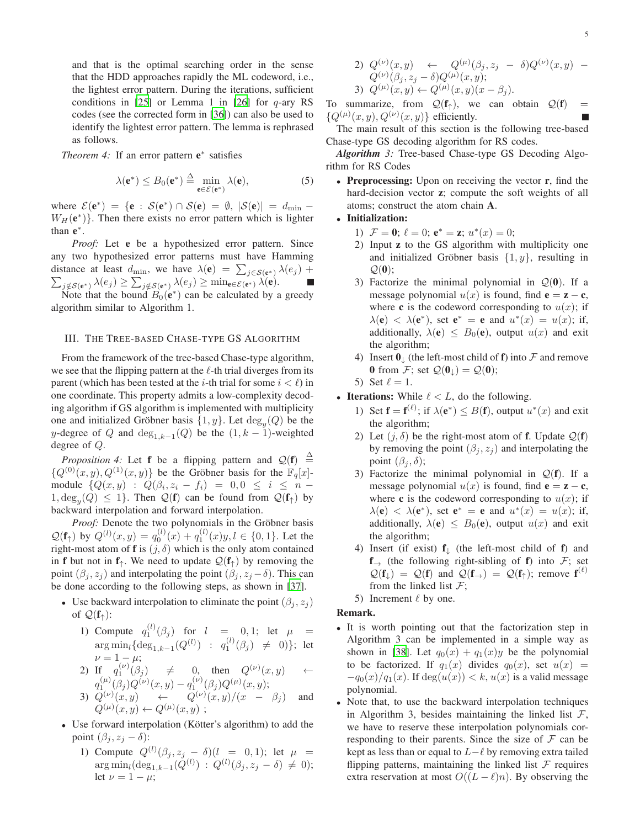and that is the optimal searching order in the sense that the HDD approaches rapidly the ML codeword, i.e., the lightest error pattern. During the iterations, sufficient conditions in [\[25\]](#page-10-7) or Lemma 1 in [\[26\]](#page-10-8) for  $q$ -ary RS codes (see the corrected form in [\[36](#page-10-19)]) can also be used to identify the lightest error pattern. The lemma is rephrased as follows.

<span id="page-4-1"></span>*Theorem 4:* If an error pattern e<sup>∗</sup> satisfies

$$
\lambda(\mathbf{e}^*) \le B_0(\mathbf{e}^*) \stackrel{\Delta}{=} \min_{\mathbf{e} \in \mathcal{E}(\mathbf{e}^*)} \lambda(\mathbf{e}),\tag{5}
$$

where  $\mathcal{E}(\mathbf{e}^*) = {\mathbf{e} : \mathcal{S}(\mathbf{e}^*) \cap \mathcal{S}(\mathbf{e}) = \emptyset, |\mathcal{S}(\mathbf{e})| = d_{\min}}$  $W_H(e^*)$ . Then there exists no error pattern which is lighter than  $e^*$ .

*Proof:* Let **e** be a hypothesized error pattern. Since any two hypothesized error patterns must have Hamming distance at least  $d_{\min}$ , we have  $\lambda(\mathbf{e}) = \sum_{j \in S(\mathbf{e}^*)} \lambda(e_j) +$  $\sum_{j \notin S(e^*)} \lambda(e_j) \geq \sum_{j \notin S(e^*)} \lambda(e_j) \geq \min_{e \in \mathcal{E}(e^*)} \lambda(e).$ Note that the bound  $B_0(e^*)$  can be calculated by a greedy

algorithm similar to Algorithm 1.

# <span id="page-4-0"></span>III. THE TREE-BASED CHASE-TYPE GS ALGORITHM

From the framework of the tree-based Chase-type algorithm, we see that the flipping pattern at the  $\ell$ -th trial diverges from its parent (which has been tested at the *i*-th trial for some  $i < l$ ) in one coordinate. This property admits a low-complexity decoding algorithm if GS algorithm is implemented with multiplicity one and initialized Gröbner basis  $\{1, y\}$ . Let  $\deg_y(Q)$  be the y-degree of Q and  $deg_{1,k-1}(Q)$  be the  $(1, k - 1)$ -weighted degree of Q.

*Proposition 4:* Let **f** be a flipping pattern and  $Q(f) \triangleq$  ${Q^{(0)}(x, y), Q^{(1)}(x, y)}$  be the Gröbner basis for the  $\mathbb{F}_q[x]$ module  $\{Q(x,y) : Q(\beta_i, z_i - f_i) = 0, 0 \le i \le n 1, \deg_y(Q) \leq 1$ . Then  $\mathcal{Q}(\mathbf{f})$  can be found from  $\mathcal{Q}(\mathbf{f})$  by backward interpolation and forward interpolation.

*Proof:* Denote the two polynomials in the Gröbner basis  $Q(\mathbf{f}_{\uparrow})$  by  $Q^{(l)}(x,y) = q_0^{(l)}(x) + q_1^{(l)}(x)y, l \in \{0,1\}$ . Let the right-most atom of **f** is  $(j, \delta)$  which is the only atom contained in **f** but not in  $f_$ <sup> $\dagger$ </sup>. We need to update  $\mathcal{Q}(f_)$  by removing the point  $(\beta_j, z_j)$  and interpolating the point  $(\beta_j, z_j - \delta)$ . This can be done according to the following steps, as shown in [\[37\]](#page-10-20).

- Use backward interpolation to eliminate the point  $(\beta_i, z_i)$ of  $\mathcal{Q}(\mathbf{f}_\uparrow)$ :
	- 1) Compute  $q_1^{(l)}(\beta_j)$  for  $l = 0, 1$ ; let  $\mu =$ 1  $\arg\min_l \{ \deg_{1,k-1}(Q^{(l)}) \ : \ q^{(l)}_1(\beta_j) \ \neq \ 0) \};$  let  $\nu = 1 - \mu;$

2) If 
$$
q_1^{(\nu)}(\beta_j) \neq 0
$$
, then  $Q^{(\nu)}(x, y) \leftarrow$   
\n $q_1^{(\mu)}(\beta_j)Q^{(\nu)}(x, y) - q_1^{(\nu)}(\beta_j)Q^{(\mu)}(x, y);$ 

- 3)  $Q^{(\nu)}(x,y) \quad \leftarrow \quad Q^{(\nu)}(x,y)/(x \beta_j)$  and  $Q^{(\mu)}(x,y) \leftarrow Q^{(\mu)}(x,y)$ ;
- Use forward interpolation (Kötter's algorithm) to add the point  $(\beta_i, z_i - \delta)$ :
	- 1) Compute  $Q^{(l)}(\beta_j, z_j \delta)(l = 0, 1)$ ; let  $\mu =$  $\arg \min_l (\deg_{1,k-1}(Q^{(l)}) : Q^{(l)}(\beta_j, z_j - \delta) \neq 0);$ let  $\nu = 1 - \mu$ ;

2) 
$$
Q^{(\nu)}(x, y) \leftarrow Q^{(\mu)}(\beta_j, z_j - \delta)Q^{(\nu)}(x, y) - Q^{(\nu)}(\beta_j, z_j - \delta)Q^{(\mu)}(x, y);
$$
  
3)  $Q^{(\mu)}(x, y) \leftarrow Q^{(\mu)}(x, y)(x - \beta_j).$ 

To summarize, from  $Q(f<sub>†</sub>)$ , we can obtain  $Q(f)$  =  ${Q^{(\mu)}(x, y), Q^{(\nu)}(x, y)}$  efficiently.

The main result of this section is the following tree-based Chase-type GS decoding algorithm for RS codes.

*Algorithm 3:* Tree-based Chase-type GS Decoding Algorithm for RS Codes

• Preprocessing: Upon on receiving the vector **r**, find the hard-decision vector z; compute the soft weights of all atoms; construct the atom chain A.

# • Initialization:

- 1)  $\mathcal{F} = \mathbf{0}$ ;  $\ell = 0$ ;  $\mathbf{e}^* = \mathbf{z}$ ;  $u^*(x) = 0$ ;
- 2) Input z to the GS algorithm with multiplicity one and initialized Gröbner basis  $\{1, y\}$ , resulting in  $\mathcal{Q}(\mathbf{0});$
- 3) Factorize the minimal polynomial in  $Q(0)$ . If a message polynomial  $u(x)$  is found, find  $\mathbf{e} = \mathbf{z} - \mathbf{c}$ , where c is the codeword corresponding to  $u(x)$ ; if  $\lambda(\mathbf{e}) < \lambda(\mathbf{e}^*)$ , set  $\mathbf{e}^* = \mathbf{e}$  and  $u^*(x) = u(x)$ ; if, additionally,  $\lambda(e) \leq B_0(e)$ , output  $u(x)$  and exit the algorithm;
- 4) Insert  $\mathbf{0}_{\perp}$  (the left-most child of f) into F and remove 0 from F; set  $Q(\mathbf{0}_{\perp}) = Q(\mathbf{0});$
- 5) Set  $\ell = 1$ .
- Iterations: While  $\ell < L$ , do the following.
	- 1) Set  $f = f^{(\ell)}$ ; if  $\lambda(e^*) \leq B(f)$ , output  $u^*(x)$  and exit the algorithm;
	- 2) Let  $(j, \delta)$  be the right-most atom of **f**. Update  $Q(f)$ by removing the point  $(\beta_j, z_j)$  and interpolating the point  $(\beta_i, \delta)$ ;
	- 3) Factorize the minimal polynomial in  $Q(f)$ . If a message polynomial  $u(x)$  is found, find  $\mathbf{e} = \mathbf{z} - \mathbf{c}$ , where c is the codeword corresponding to  $u(x)$ ; if  $\lambda(\mathbf{e}) < \lambda(\mathbf{e}^*)$ , set  $\mathbf{e}^* = \mathbf{e}$  and  $u^*(x) = u(x)$ ; if, additionally,  $\lambda(e) \leq B_0(e)$ , output  $u(x)$  and exit the algorithm;
	- 4) Insert (if exist)  $f_{\perp}$  (the left-most child of f) and  $f \rightarrow$  (the following right-sibling of f) into F; set  $Q(\mathbf{f}) = Q(\mathbf{f})$  and  $Q(\mathbf{f}_{\rightarrow}) = Q(\mathbf{f}_{\uparrow})$ ; remove  $\mathbf{f}^{(\ell)}$ from the linked list  $F$ ;
	- 5) Increment  $\ell$  by one.

# Remark.

- It is worth pointing out that the factorization step in Algorithm 3 can be implemented in a simple way as shown in [\[38\]](#page-10-21). Let  $q_0(x) + q_1(x)y$  be the polynomial to be factorized. If  $q_1(x)$  divides  $q_0(x)$ , set  $u(x) =$  $-q_0(x)/q_1(x)$ . If  $deg(u(x)) < k, u(x)$  is a valid message polynomial.
- Note that, to use the backward interpolation techniques in Algorithm 3, besides maintaining the linked list  $\mathcal{F}$ , we have to reserve these interpolation polynomials corresponding to their parents. Since the size of  $\mathcal F$  can be kept as less than or equal to  $L-\ell$  by removing extra tailed flipping patterns, maintaining the linked list  $\mathcal F$  requires extra reservation at most  $O((L - \ell)n)$ . By observing the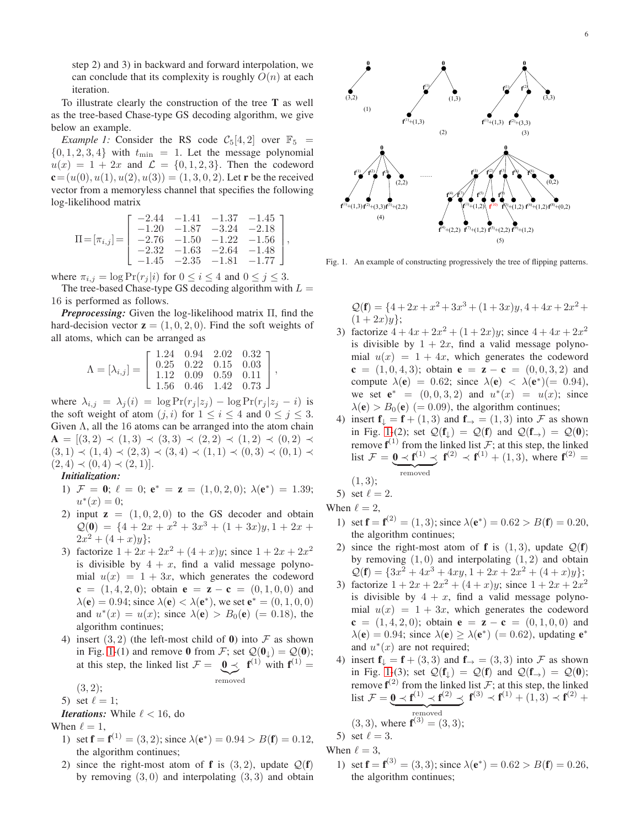step 2) and 3) in backward and forward interpolation, we can conclude that its complexity is roughly  $O(n)$  at each iteration.

To illustrate clearly the construction of the tree T as well as the tree-based Chase-type GS decoding algorithm, we give below an example.

*Example 1:* Consider the RS code  $C_5[4,2]$  over  $\mathbb{F}_5$  =  $\{0, 1, 2, 3, 4\}$  with  $t_{\min} = 1$ . Let the message polynomial  $u(x) = 1 + 2x$  and  $\mathcal{L} = \{0, 1, 2, 3\}$ . Then the codeword  ${\bf c} = (u(0), u(1), u(2), u(3)) = (1, 3, 0, 2)$ . Let **r** be the received vector from a memoryless channel that specifies the following log-likelihood matrix

$$
\Pi = [\pi_{i,j}] = \begin{bmatrix} -2.44 & -1.41 & -1.37 & -1.45 \\ -1.20 & -1.87 & -3.24 & -2.18 \\ -2.76 & -1.50 & -1.22 & -1.56 \\ -2.32 & -1.63 & -2.64 & -1.48 \\ -1.45 & -2.35 & -1.81 & -1.77 \end{bmatrix},
$$

where  $\pi_{i,j} = \log \Pr(r_j | i)$  for  $0 \le i \le 4$  and  $0 \le j \le 3$ .

The tree-based Chase-type GS decoding algorithm with  $L =$ 16 is performed as follows.

*Preprocessing:* Given the log-likelihood matrix Π, find the hard-decision vector  $z = (1, 0, 2, 0)$ . Find the soft weights of all atoms, which can be arranged as

$$
\Lambda = [\lambda_{i,j}] = \left[ \begin{array}{cccc} 1.24 & 0.94 & 2.02 & 0.32 \\ 0.25 & 0.22 & 0.15 & 0.03 \\ 1.12 & 0.09 & 0.59 & 0.11 \\ 1.56 & 0.46 & 1.42 & 0.73 \end{array} \right],
$$

where  $\lambda_{i,j} = \lambda_j(i) = \log \Pr(r_j | z_j) - \log \Pr(r_j | z_j - i)$  is the soft weight of atom  $(j, i)$  for  $1 \le i \le 4$  and  $0 \le j \le 3$ . Given Λ, all the 16 atoms can be arranged into the atom chain  $A = [(3, 2) \prec (1, 3) \prec (3, 3) \prec (2, 2) \prec (1, 2) \prec (0, 2) \prec$  $(3, 1) \prec (1, 4) \prec (2, 3) \prec (3, 4) \prec (1, 1) \prec (0, 3) \prec (0, 1) \prec$  $(2, 4) \prec (0, 4) \prec (2, 1)$ .

*Initialization:*

- 1)  $\mathcal{F} = 0$ ;  $\ell = 0$ ;  $e^* = z = (1, 0, 2, 0)$ ;  $\lambda(e^*) = 1.39$ ;  $u^*(x) = 0;$
- 2) input  $z = (1, 0, 2, 0)$  to the GS decoder and obtain  $\mathcal{Q}(\mathbf{0}) = \{4 + 2x + x^2 + 3x^3 + (1 + 3x)y, 1 + 2x +$  $2x^2 + (4+x)y$ ;
- 3) factorize  $1 + 2x + 2x^2 + (4 + x)y$ ; since  $1 + 2x + 2x^2$ is divisible by  $4 + x$ , find a valid message polynomial  $u(x) = 1 + 3x$ , which generates the codeword  $c = (1, 4, 2, 0);$  obtain  $e = z - c = (0, 1, 0, 0)$  and  $\lambda(e) = 0.94$ ; since  $\lambda(e) < \lambda(e^*)$ , we set  $e^* = (0, 1, 0, 0)$ and  $u^*(x) = u(x)$ ; since  $\lambda(e) > B_0(e) (= 0.18)$ , the algorithm continues;
- 4) insert  $(3, 2)$  (the left-most child of 0) into  $\mathcal F$  as shown in Fig. [1-](#page-5-0)(1) and remove 0 from F; set  $\mathcal{Q}(\mathbf{0}_{\downarrow}) = \mathcal{Q}(\mathbf{0});$ at this step, the linked list  $\mathcal{F} = \begin{bmatrix} 0 < 0 \\ 0 < 0 \end{bmatrix}$  with  $\mathbf{f}^{(1)} =$ |{z} removed

$$
(3, 2);
$$

5) set  $\ell = 1$ ;

*Iterations:* While  $\ell < 16$ , do

When  $\ell = 1$ ,

- 1) set  $f = f^{(1)} = (3, 2)$ ; since  $\lambda(e^*) = 0.94 > B(f) = 0.12$ , the algorithm continues;
- 2) since the right-most atom of **f** is  $(3, 2)$ , update  $Q(f)$ by removing  $(3, 0)$  and interpolating  $(3, 3)$  and obtain



<span id="page-5-0"></span>Fig. 1. An example of constructing progressively the tree of flipping patterns.

$$
Q(\mathbf{f}) = \{4 + 2x + x^2 + 3x^3 + (1 + 3x)y, 4 + 4x + 2x^2 + (1 + 2x)y\};
$$

- 3) factorize  $4 + 4x + 2x^2 + (1 + 2x)y$ ; since  $4 + 4x + 2x^2$ is divisible by  $1 + 2x$ , find a valid message polynomial  $u(x) = 1 + 4x$ , which generates the codeword  $c = (1, 0, 4, 3)$ ; obtain  $e = z - c = (0, 0, 3, 2)$  and compute  $\lambda(\mathbf{e}) = 0.62$ ; since  $\lambda(\mathbf{e}) < \lambda(\mathbf{e}^*)$  (= 0.94), we set  $e^* = (0, 0, 3, 2)$  and  $u^*(x) = u(x)$ ; since  $\lambda(\mathbf{e}) > B_0(\mathbf{e})$  (= 0.09), the algorithm continues;
- 4) insert  $f_{\downarrow} = f + (1, 3)$  and  $f_{\rightarrow} = (1, 3)$  into F as shown in Fig. [1-](#page-5-0)(2); set  $Q(f_{\perp}) = Q(f)$  and  $Q(f_{\rightarrow}) = Q(0);$ remove  $f^{(1)}$  from the linked list  $F$ ; at this step, the linked list  $\mathcal{F} = \mathbf{0} \prec \mathbf{f}^{(1)} \prec \mathbf{f}^{(2)} \prec \mathbf{f}^{(1)} + (1, 3)$ , where  $\mathbf{f}^{(2)} =$ removed removed  $(1, 3);$

5) set 
$$
\ell = 2
$$
.

When  $\ell = 2$ ,

- 1) set  $f = f^{(2)} = (1, 3)$ ; since  $\lambda(e^*) = 0.62 > B(f) = 0.20$ , the algorithm continues;
- 2) since the right-most atom of **f** is  $(1,3)$ , update  $Q(f)$ by removing  $(1, 0)$  and interpolating  $(1, 2)$  and obtain  $Q(f) = \{3x^2 + 4x^3 + 4xy, 1 + 2x + 2x^2 + (4+x)y\};$
- 3) factorize  $1 + 2x + 2x^2 + (4 + x)y$ ; since  $1 + 2x + 2x^2$ is divisible by  $4 + x$ , find a valid message polynomial  $u(x) = 1 + 3x$ , which generates the codeword  $c = (1, 4, 2, 0);$  obtain  $e = z - c = (0, 1, 0, 0)$  and  $\lambda(\mathbf{e}) = 0.94$ ; since  $\lambda(\mathbf{e}) \geq \lambda(\mathbf{e}^*)$  (= 0.62), updating  $\mathbf{e}^*$ and  $u^*(x)$  are not required;
- 4) insert  $f_{\downarrow} = f + (3, 3)$  and  $f_{\rightarrow} = (3, 3)$  into F as shown in Fig. [1-](#page-5-0)(3); set  $\mathcal{Q}(\mathbf{f}_{\perp}) = \mathcal{Q}(\mathbf{f})$  and  $\mathcal{Q}(\mathbf{f}_{\rightarrow}) = \mathcal{Q}(\mathbf{0});$ remove  $f^{(2)}$  from the linked list  $F$ ; at this step, the linked list  $\mathcal{F} = \mathbf{0} \prec \mathbf{f}^{(1)} \prec \mathbf{f}^{(2)} \prec \mathbf{f}^{(3)} \prec \mathbf{f}^{(1)} + (1, 3) \prec \mathbf{f}^{(2)} +$  ${\rm removed}$ <br>
here  ${\bf f}^{(3)} = (3,3);$  $(3, 3)$

3, 3), where 
$$
f^{(0)} = (3, 3);
$$
  
at  $\ell = 3$ .

 $5)$  set When  $\ell = 3$ ,

> 1) set  $f = f^{(3)} = (3, 3)$ ; since  $\lambda(e^*) = 0.62 > B(f) = 0.26$ , the algorithm continues;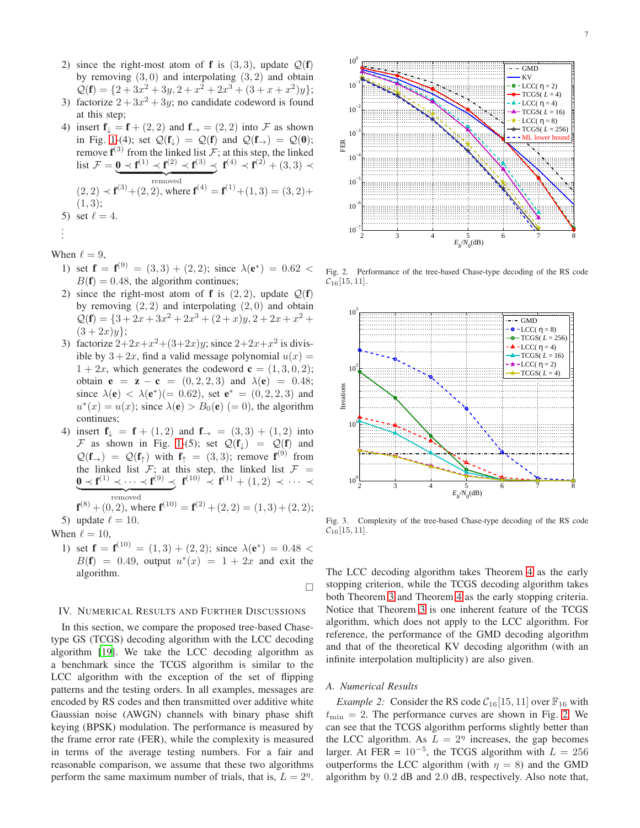- 2) since the right-most atom of **f** is  $(3, 3)$ , update  $Q(f)$ by removing  $(3, 0)$  and interpolating  $(3, 2)$  and obtain  $Q(\mathbf{f}) = \{2 + 3x^2 + 3y, 2 + x^2 + 2x^3 + (3 + x + x^2)y\};$
- 3) factorize  $2 + 3x^2 + 3y$ ; no candidate codeword is found at this step;
- 4) insert  $f_{\downarrow} = f + (2, 2)$  and  $f_{\rightarrow} = (2, 2)$  into F as shown in Fig. [1-](#page-5-0)(4); set  $Q(f_{\perp}) = Q(f)$  and  $Q(f_{\rightarrow}) = Q(0);$ remove  $f^{(3)}$  from the linked list  $F$ ; at this step, the linked list  $\mathcal{F} = \mathbf{0} \prec \mathbf{f}^{(1)} \prec \mathbf{f}^{(2)} \prec \mathbf{f}^{(3)} \prec \mathbf{f}^{(4)} \prec \mathbf{f}^{(2)} + (3,3) \prec$ removed  $(2, 2) \prec f^{(3)} + (2, 2)$ , where  $f^{(4)} = f^{(1)} + (1, 3) = (3, 2) +$  $(1, 3);$ 5) set  $\ell = 4$ . .

$$
\vdots \\
$$

When  $\ell = 9$ ,

- 1) set  $f = f^{(9)} = (3,3) + (2,2)$ ; since  $\lambda(e^*) = 0.62$  <  $B(f) = 0.48$ , the algorithm continues;
- 2) since the right-most atom of **f** is  $(2, 2)$ , update  $Q(f)$ by removing  $(2, 2)$  and interpolating  $(2, 0)$  and obtain  $Q(\mathbf{f}) = \{3 + 2x + 3x^2 + 2x^3 + (2+x)y, 2+2x+x^2 +$  $(3+2x)y$ ;
- 3) factorize  $2+2x+x^2+(3+2x)y$ ; since  $2+2x+x^2$  is divisible by  $3 + 2x$ , find a valid message polynomial  $u(x) =$  $1 + 2x$ , which generates the codeword  $\mathbf{c} = (1, 3, 0, 2);$ obtain **e** = **z** – **c** =  $(0, 2, 2, 3)$  and  $\lambda(\mathbf{e}) = 0.48$ ; since  $\lambda(e) < \lambda(e^*)(= 0.62)$ , set  $e^* = (0, 2, 2, 3)$  and  $u^*(x) = u(x)$ ; since  $\lambda(\mathbf{e}) > B_0(\mathbf{e})$  (= 0), the algorithm continues;
- 4) insert  $f_{\downarrow} = f + (1, 2)$  and  $f_{\rightarrow} = (3, 3) + (1, 2)$  into F as shown in Fig. [1-](#page-5-0)(5); set  $Q(f)$  =  $Q(f)$  and  $\mathcal{Q}(\mathbf{f}_{\rightarrow}) = \mathcal{Q}(\mathbf{f}_{\uparrow})$  with  $\mathbf{f}_{\uparrow} = (3,3)$ ; remove  $\mathbf{f}^{(9)}$  from the linked list  $F$ ; at this step, the linked list  $F =$  $\mathbf{0} \prec \mathbf{f}^{(1)} \prec \cdots \prec \mathbf{f}^{(9)} \prec \mathbf{f}^{(10)} \prec \mathbf{f}^{(1)} + (1,2) \prec \cdots \prec$ removed

 $f^{(8)} + (0, 2)$ , where  $f^{(10)} = f^{(2)} + (2, 2) = (1, 3) + (2, 2);$ 5) update  $\ell = 10$ .

When  $\ell = 10$ ,

1) set  $f = f^{(10)} = (1,3) + (2,2)$ ; since  $\lambda(e^*) = 0.48$  <  $B(f) = 0.49$ , output  $u^*(x) = 1 + 2x$  and exit the algorithm.

 $\Box$ 

# <span id="page-6-0"></span>IV. NUMERICAL RESULTS AND FURTHER DISCUSSIONS

In this section, we compare the proposed tree-based Chasetype GS (TCGS) decoding algorithm with the LCC decoding algorithm [\[19](#page-10-1)]. We take the LCC decoding algorithm as a benchmark since the TCGS algorithm is similar to the LCC algorithm with the exception of the set of flipping patterns and the testing orders. In all examples, messages are encoded by RS codes and then transmitted over additive white Gaussian noise (AWGN) channels with binary phase shift keying (BPSK) modulation. The performance is measured by the frame error rate (FER), while the complexity is measured in terms of the average testing numbers. For a fair and reasonable comparison, we assume that these two algorithms perform the same maximum number of trials, that is,  $L = 2<sup>\eta</sup>$ .



<span id="page-6-1"></span>Fig. 2. Performance of the tree-based Chase-type decoding of the RS code  $C_{16}[15, 11]$ .



<span id="page-6-2"></span>Fig. 3. Complexity of the tree-based Chase-type decoding of the RS code  $C_{16}[15, 11]$ .

The LCC decoding algorithm takes Theorem [4](#page-4-1) as the early stopping criterion, while the TCGS decoding algorithm takes both Theorem [3](#page-3-1) and Theorem [4](#page-4-1) as the early stopping criteria. Notice that Theorem [3](#page-3-1) is one inherent feature of the TCGS algorithm, which does not apply to the LCC algorithm. For reference, the performance of the GMD decoding algorithm and that of the theoretical KV decoding algorithm (with an infinite interpolation multiplicity) are also given.

#### *A. Numerical Results*

*Example 2:* Consider the RS code  $C_{16}[15, 11]$  over  $\mathbb{F}_{16}$  with  $t_{\text{min}} = 2$ . The performance curves are shown in Fig. [2.](#page-6-1) We can see that the TCGS algorithm performs slightly better than the LCC algorithm. As  $L = 2<sup>\eta</sup>$  increases, the gap becomes larger. At FER =  $10^{-5}$ , the TCGS algorithm with  $L = 256$ outperforms the LCC algorithm (with  $\eta = 8$ ) and the GMD algorithm by 0.2 dB and 2.0 dB, respectively. Also note that,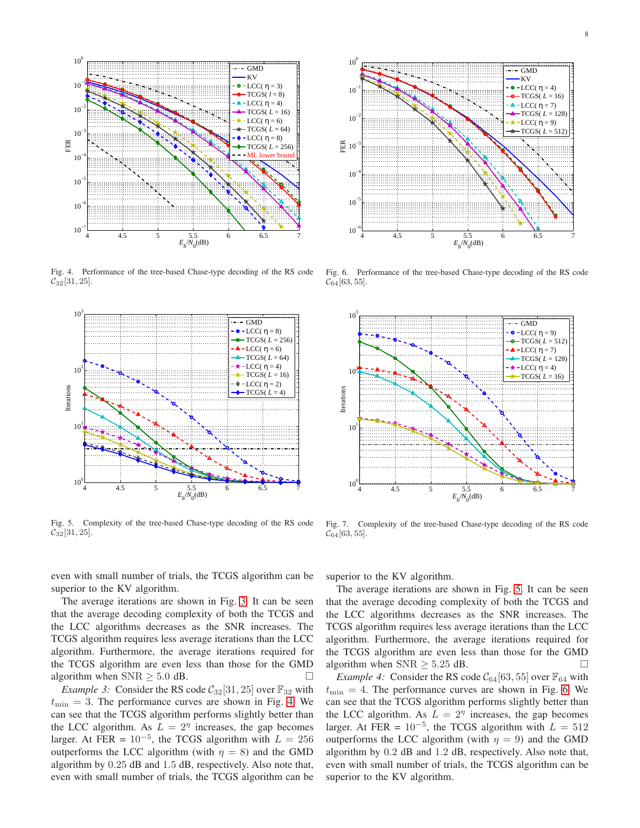

<span id="page-7-0"></span>Fig. 4. Performance of the tree-based Chase-type decoding of the RS code  $C_{32}[31, 25]$ .



<span id="page-7-1"></span>Fig. 5. Complexity of the tree-based Chase-type decoding of the RS code  $C_{32}[31, 25]$ .



<span id="page-7-2"></span>Fig. 6. Performance of the tree-based Chase-type decoding of the RS code  $C_{64}[63, 55]$ .



<span id="page-7-3"></span>Fig. 7. Complexity of the tree-based Chase-type decoding of the RS code  $C_{64}[63, 55]$ .

even with small number of trials, the TCGS algorithm can be superior to the KV algorithm.

The average iterations are shown in Fig. [3.](#page-6-2) It can be seen that the average decoding complexity of both the TCGS and the LCC algorithms decreases as the SNR increases. The TCGS algorithm requires less average iterations than the LCC algorithm. Furthermore, the average iterations required for the TCGS algorithm are even less than those for the GMD algorithm when  $SNR \geq 5.0$  dB.

*Example 3:* Consider the RS code  $C_{32}[31, 25]$  over  $\mathbb{F}_{32}$  with  $t_{\text{min}} = 3$ . The performance curves are shown in Fig. [4.](#page-7-0) We can see that the TCGS algorithm performs slightly better than the LCC algorithm. As  $L = 2<sup>\eta</sup>$  increases, the gap becomes larger. At FER =  $10^{-5}$ , the TCGS algorithm with  $L = 256$ outperforms the LCC algorithm (with  $\eta = 8$ ) and the GMD algorithm by 0.25 dB and 1.5 dB, respectively. Also note that, even with small number of trials, the TCGS algorithm can be superior to the KV algorithm.

The average iterations are shown in Fig. [5.](#page-7-1) It can be seen that the average decoding complexity of both the TCGS and the LCC algorithms decreases as the SNR increases. The TCGS algorithm requires less average iterations than the LCC algorithm. Furthermore, the average iterations required for the TCGS algorithm are even less than those for the GMD algorithm when  $SNR \geq 5.25$  dB.

*Example 4:* Consider the RS code  $C_{64}$ [63, 55] over  $\mathbb{F}_{64}$  with  $t_{\text{min}} = 4$ . The performance curves are shown in Fig. [6.](#page-7-2) We can see that the TCGS algorithm performs slightly better than the LCC algorithm. As  $L = 2<sup>\eta</sup>$  increases, the gap becomes larger. At FER =  $10^{-5}$ , the TCGS algorithm with  $L = 512$ outperforms the LCC algorithm (with  $\eta = 9$ ) and the GMD algorithm by 0.2 dB and 1.2 dB, respectively. Also note that, even with small number of trials, the TCGS algorithm can be superior to the KV algorithm.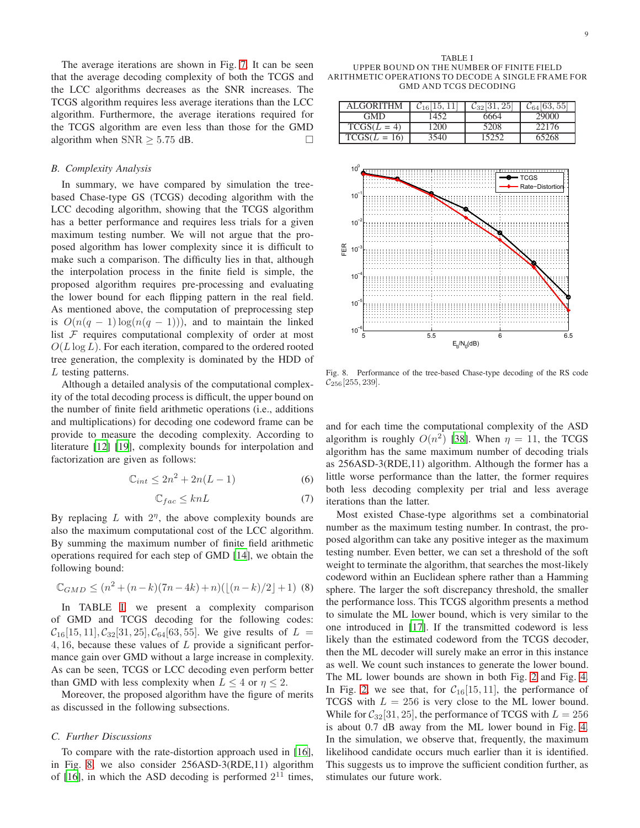The average iterations are shown in Fig. [7.](#page-7-3) It can be seen that the average decoding complexity of both the TCGS and the LCC algorithms decreases as the SNR increases. The TCGS algorithm requires less average iterations than the LCC algorithm. Furthermore, the average iterations required for the TCGS algorithm are even less than those for the GMD algorithm when  $SNR \geq 5.75$  dB.

#### *B. Complexity Analysis*

In summary, we have compared by simulation the treebased Chase-type GS (TCGS) decoding algorithm with the LCC decoding algorithm, showing that the TCGS algorithm has a better performance and requires less trials for a given maximum testing number. We will not argue that the proposed algorithm has lower complexity since it is difficult to make such a comparison. The difficulty lies in that, although the interpolation process in the finite field is simple, the proposed algorithm requires pre-processing and evaluating the lower bound for each flipping pattern in the real field. As mentioned above, the computation of preprocessing step is  $O(n(q-1)\log(n(q-1)))$ , and to maintain the linked list  $F$  requires computational complexity of order at most  $O(L \log L)$ . For each iteration, compared to the ordered rooted tree generation, the complexity is dominated by the HDD of L testing patterns.

Although a detailed analysis of the computational complexity of the total decoding process is difficult, the upper bound on the number of finite field arithmetic operations (i.e., additions and multiplications) for decoding one codeword frame can be provide to measure the decoding complexity. According to literature [\[12](#page-9-10)] [\[19](#page-10-1)], complexity bounds for interpolation and factorization are given as follows:

$$
\mathbb{C}_{int} \le 2n^2 + 2n(L-1) \tag{6}
$$

$$
\mathbb{C}_{fac} \le knL\tag{7}
$$

By replacing  $L$  with  $2<sup>\eta</sup>$ , the above complexity bounds are also the maximum computational cost of the LCC algorithm. By summing the maximum number of finite field arithmetic operations required for each step of GMD [\[14](#page-9-15)], we obtain the following bound:

$$
\mathbb{C}_{GMD} \le (n^2 + (n - k)(7n - 4k) + n)(\lfloor (n - k)/2 \rfloor + 1) \tag{8}
$$

In TABLE [I,](#page-8-0) we present a complexity comparison of GMD and TCGS decoding for the following codes:  $C_{16}[15, 11], C_{32}[31, 25], C_{64}[63, 55]$ . We give results of  $L =$ 4, 16, because these values of L provide a significant performance gain over GMD without a large increase in complexity. As can be seen, TCGS or LCC decoding even perform better than GMD with less complexity when  $L \leq 4$  or  $\eta \leq 2$ .

Moreover, the proposed algorithm have the figure of merits as discussed in the following subsections.

# *C. Further Discussions*

To compare with the rate-distortion approach used in [\[16](#page-9-12)], in Fig. [8,](#page-8-1) we also consider 256ASD-3(RDE,11) algorithm of [\[16](#page-9-12)], in which the ASD decoding is performed  $2^{11}$  times,

<span id="page-8-0"></span>TABLE I UPPER BOUND ON THE NUMBER OF FINITE FIELD ARITHMETIC OPERATIONS TO DECODE A SINGLE FRAME FOR GMD AND TCGS DECODING

| ALGORITHM      | $C_{16}$ | $C_{32}$ [31, 25 | $\mathcal{C}_{64}[63, 55]$ |
|----------------|----------|------------------|----------------------------|
| <b>GMD</b>     | 1452     | 6664             | 29000                      |
| $TCGS(L = 4)$  | 1200     | 5208             | 22176                      |
| $TCGS(L = 16)$ | 540      |                  | 55268                      |



<span id="page-8-1"></span>Fig. 8. Performance of the tree-based Chase-type decoding of the RS code  $\mathcal{C}_{256}[255, 239]$ .

and for each time the computational complexity of the ASD algorithm is roughly  $O(n^2)$  [\[38\]](#page-10-21). When  $\eta = 11$ , the TCGS algorithm has the same maximum number of decoding trials as 256ASD-3(RDE,11) algorithm. Although the former has a little worse performance than the latter, the former requires both less decoding complexity per trial and less average iterations than the latter.

Most existed Chase-type algorithms set a combinatorial number as the maximum testing number. In contrast, the proposed algorithm can take any positive integer as the maximum testing number. Even better, we can set a threshold of the soft weight to terminate the algorithm, that searches the most-likely codeword within an Euclidean sphere rather than a Hamming sphere. The larger the soft discrepancy threshold, the smaller the performance loss. This TCGS algorithm presents a method to simulate the ML lower bound, which is very similar to the one introduced in [\[17\]](#page-10-0). If the transmitted codeword is less likely than the estimated codeword from the TCGS decoder, then the ML decoder will surely make an error in this instance as well. We count such instances to generate the lower bound. The ML lower bounds are shown in both Fig. [2](#page-6-1) and Fig. [4.](#page-7-0) In Fig. [2,](#page-6-1) we see that, for  $C_{16}[15, 11]$ , the performance of TCGS with  $L = 256$  is very close to the ML lower bound. While for  $C_{32}[31, 25]$ , the performance of TCGS with  $L = 256$ is about 0.7 dB away from the ML lower bound in Fig. [4.](#page-7-0) In the simulation, we observe that, frequently, the maximum likelihood candidate occurs much earlier than it is identified. This suggests us to improve the sufficient condition further, as stimulates our future work.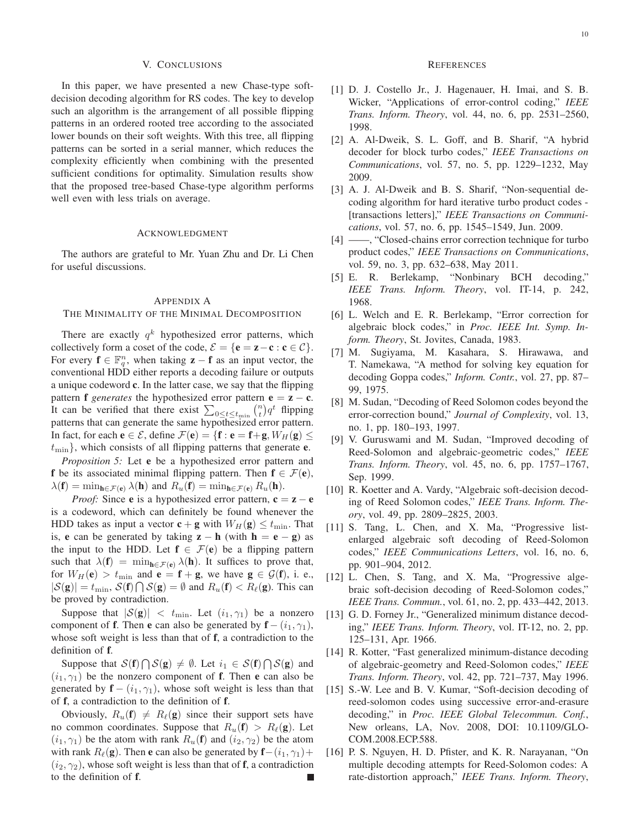#### V. CONCLUSIONS

<span id="page-9-13"></span>In this paper, we have presented a new Chase-type softdecision decoding algorithm for RS codes. The key to develop such an algorithm is the arrangement of all possible flipping patterns in an ordered rooted tree according to the associated lower bounds on their soft weights. With this tree, all flipping patterns can be sorted in a serial manner, which reduces the complexity efficiently when combining with the presented sufficient conditions for optimality. Simulation results show that the proposed tree-based Chase-type algorithm performs well even with less trials on average.

#### ACKNOWLEDGMENT

The authors are grateful to Mr. Yuan Zhu and Dr. Li Chen for useful discussions.

# <span id="page-9-14"></span>APPENDIX A

# THE MINIMALITY OF THE MINIMAL DECOMPOSITION

There are exactly  $q^k$  hypothesized error patterns, which collectively form a coset of the code,  $\mathcal{E} = {\bf{e}} = {\bf{z}} - {\bf{c}} : {\bf{c}} \in \mathcal{C}$ . For every  $f \in \mathbb{F}_q^n$ , when taking  $z - f$  as an input vector, the conventional HDD either reports a decoding failure or outputs a unique codeword c. In the latter case, we say that the flipping pattern **f** *generates* the hypothesized error pattern  $e = z - c$ . It can be verified that there exist  $\sum_{0 \le t \le t_{\text{min}}} {n \choose t} q^t$  flipping patterns that can generate the same hypothesized error pattern. In fact, for each  $e \in \mathcal{E}$ , define  $\mathcal{F}(e) = \{f : e = f + g, W_H(g) \leq$  $t_{\text{min}}$ , which consists of all flipping patterns that generate **e**.

*Proposition 5:* Let **e** be a hypothesized error pattern and f be its associated minimal flipping pattern. Then  $f \in \mathcal{F}(e)$ ,  $\lambda(\mathbf{f}) = \min_{\mathbf{h} \in \mathcal{F}(\mathbf{e})} \lambda(\mathbf{h})$  and  $R_u(\mathbf{f}) = \min_{\mathbf{h} \in \mathcal{F}(\mathbf{e})} R_u(\mathbf{h})$ .

*Proof:* Since **e** is a hypothesized error pattern,  $c = z - e$ is a codeword, which can definitely be found whenever the HDD takes as input a vector  $\mathbf{c} + \mathbf{g}$  with  $W_H(\mathbf{g}) \le t_{\text{min}}$ . That is, e can be generated by taking  $z - h$  (with  $h = e - g$ ) as the input to the HDD. Let  $f \in \mathcal{F}(e)$  be a flipping pattern such that  $\lambda(f) = \min_{h \in \mathcal{F}(e)} \lambda(h)$ . It suffices to prove that, for  $W_H(\mathbf{e}) > t_{\text{min}}$  and  $\mathbf{e} = \mathbf{f} + \mathbf{g}$ , we have  $\mathbf{g} \in \mathcal{G}(\mathbf{f})$ , i. e.,  $|S(\mathbf{g})| = t_{\min}$ ,  $S(\mathbf{f}) \bigcap S(\mathbf{g}) = \emptyset$  and  $R_u(\mathbf{f}) < R_{\ell}(\mathbf{g})$ . This can be proved by contradiction.

Suppose that  $|S(g)| < t_{\min}$ . Let  $(i_1, \gamma_1)$  be a nonzero component of **f**. Then **e** can also be generated by  $f - (i_1, \gamma_1)$ , whose soft weight is less than that of f, a contradiction to the definition of f.

Suppose that  $S(f) \bigcap S(g) \neq \emptyset$ . Let  $i_1 \in S(f) \bigcap S(g)$  and  $(i_1, \gamma_1)$  be the nonzero component of **f**. Then **e** can also be generated by  $f - (i_1, \gamma_1)$ , whose soft weight is less than that of f, a contradiction to the definition of f.

Obviously,  $R_u(\mathbf{f}) \neq R_{\ell}(\mathbf{g})$  since their support sets have no common coordinates. Suppose that  $R_u(\mathbf{f}) > R_{\ell}(\mathbf{g})$ . Let  $(i_1, \gamma_1)$  be the atom with rank  $R_u(\mathbf{f})$  and  $(i_2, \gamma_2)$  be the atom with rank  $R_{\ell}(\mathbf{g})$ . Then **e** can also be generated by  $\mathbf{f}-(i_1, \gamma_1)+$  $(i_2, \gamma_2)$ , whose soft weight is less than that of **f**, a contradiction to the definition of f.

## **REFERENCES**

- <span id="page-9-0"></span>[1] D. J. Costello Jr., J. Hagenauer, H. Imai, and S. B. Wicker, "Applications of error-control coding," *IEEE Trans. Inform. Theory*, vol. 44, no. 6, pp. 2531–2560, 1998.
- <span id="page-9-1"></span>[2] A. Al-Dweik, S. L. Goff, and B. Sharif, "A hybrid decoder for block turbo codes," *IEEE Transactions on Communications*, vol. 57, no. 5, pp. 1229–1232, May 2009.
- [3] A. J. Al-Dweik and B. S. Sharif, "Non-sequential decoding algorithm for hard iterative turbo product codes - [transactions letters]," *IEEE Transactions on Communications*, vol. 57, no. 6, pp. 1545–1549, Jun. 2009.
- <span id="page-9-2"></span>[4] ——, "Closed-chains error correction technique for turbo product codes," *IEEE Transactions on Communications*, vol. 59, no. 3, pp. 632–638, May 2011.
- <span id="page-9-3"></span>[5] E. R. Berlekamp, "Nonbinary BCH decoding," *IEEE Trans. Inform. Theory*, vol. IT-14, p. 242, 1968.
- <span id="page-9-4"></span>[6] L. Welch and E. R. Berlekamp, "Error correction for algebraic block codes," in *Proc. IEEE Int. Symp. Inform. Theory*, St. Jovites, Canada, 1983.
- <span id="page-9-5"></span>[7] M. Sugiyama, M. Kasahara, S. Hirawawa, and T. Namekawa, "A method for solving key equation for decoding Goppa codes," *Inform. Contr.*, vol. 27, pp. 87– 99, 1975.
- <span id="page-9-6"></span>[8] M. Sudan, "Decoding of Reed Solomon codes beyond the error-correction bound," *Journal of Complexity*, vol. 13, no. 1, pp. 180–193, 1997.
- <span id="page-9-7"></span>[9] V. Guruswami and M. Sudan, "Improved decoding of Reed-Solomon and algebraic-geometric codes," *IEEE Trans. Inform. Theory*, vol. 45, no. 6, pp. 1757–1767, Sep. 1999.
- <span id="page-9-8"></span>[10] R. Koetter and A. Vardy, "Algebraic soft-decision decoding of Reed Solomon codes," *IEEE Trans. Inform. Theory*, vol. 49, pp. 2809–2825, 2003.
- <span id="page-9-9"></span>[11] S. Tang, L. Chen, and X. Ma, "Progressive listenlarged algebraic soft decoding of Reed-Solomon codes," *IEEE Communications Letters*, vol. 16, no. 6, pp. 901–904, 2012.
- <span id="page-9-10"></span>[12] L. Chen, S. Tang, and X. Ma, "Progressive algebraic soft-decision decoding of Reed-Solomon codes," *IEEE Trans. Commun.*, vol. 61, no. 2, pp. 433–442, 2013.
- <span id="page-9-11"></span>[13] G. D. Forney Jr., "Generalized minimum distance decoding," *IEEE Trans. Inform. Theory*, vol. IT-12, no. 2, pp. 125–131, Apr. 1966.
- <span id="page-9-15"></span>[14] R. Kotter, "Fast generalized minimum-distance decoding of algebraic-geometry and Reed-Solomon codes," *IEEE Trans. Inform. Theory*, vol. 42, pp. 721–737, May 1996.
- [15] S.-W. Lee and B. V. Kumar, "Soft-decision decoding of reed-solomon codes using successive error-and-erasure decoding," in *Proc. IEEE Global Telecommun. Conf.*, New orleans, LA, Nov. 2008, DOI: 10.1109/GLO-COM.2008.ECP.588.
- <span id="page-9-12"></span>[16] P. S. Nguyen, H. D. Pfister, and K. R. Narayanan, "On multiple decoding attempts for Reed-Solomon codes: A rate-distortion approach," *IEEE Trans. Inform. Theory*,